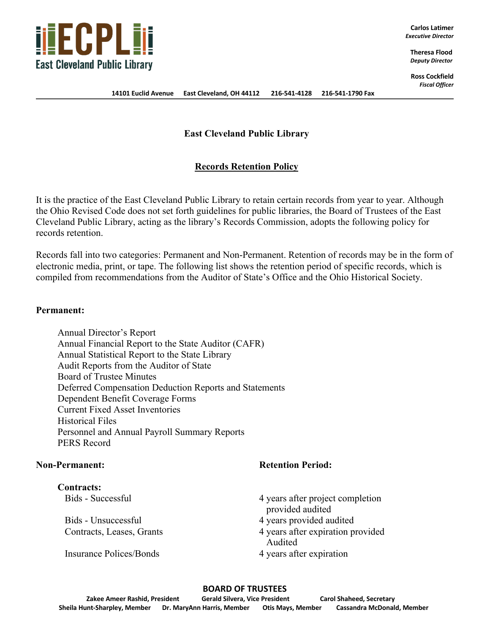

**Carlos Latimer** *Executive Director*

> **Theresa Flood** *Deputy Director*

**Ross Cockfield** *Fiscal Officer*

**14101 Euclid Avenue East Cleveland, OH 44112 216-541-4128 216-541-1790 Fax**

# **East Cleveland Public Library**

# **Records Retention Policy**

It is the practice of the East Cleveland Public Library to retain certain records from year to year. Although the Ohio Revised Code does not set forth guidelines for public libraries, the Board of Trustees of the East Cleveland Public Library, acting as the library's Records Commission, adopts the following policy for records retention.

Records fall into two categories: Permanent and Non-Permanent. Retention of records may be in the form of electronic media, print, or tape. The following list shows the retention period of specific records, which is compiled from recommendations from the Auditor of State's Office and the Ohio Historical Society.

### **Permanent:**

Annual Director's Report Annual Financial Report to the State Auditor (CAFR) Annual Statistical Report to the State Library Audit Reports from the Auditor of State Board of Trustee Minutes Deferred Compensation Deduction Reports and Statements Dependent Benefit Coverage Forms Current Fixed Asset Inventories Historical Files Personnel and Annual Payroll Summary Reports PERS Record

**Contracts:**

Insurance Polices/Bonds 4 years after expiration

# **Non-Permanent: Retention Period:**

Bids - Successful 4 years after project completion provided audited

- Bids Unsuccessful 4 years provided audited
- Contracts, Leases, Grants 4 years after expiration provided Audited
	-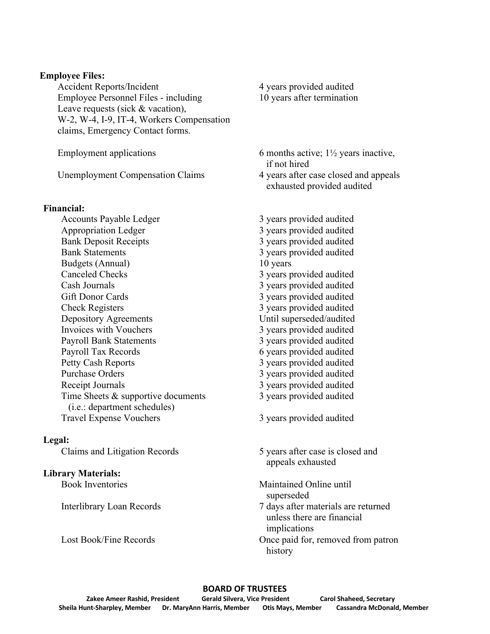## **Employee Files:**

Accident Reports/Incident 4 years provided audited Employee Personnel Files - including 10 years after termination Leave requests (sick & vacation), W-2, W-4, I-9, IT-4, Workers Compensation claims, Emergency Contact forms.

Unemployment Compensation Claims 4 years after case closed and appeals

## **Financial:**

Accounts Payable Ledger 3 years provided audited Appropriation Ledger 3 years provided audited Bank Deposit Receipts 3 years provided audited Bank Statements 3 years provided audited Budgets (Annual) 10 years Canceled Checks 3 years provided audited Cash Journals 3 years provided audited Gift Donor Cards 3 years provided audited Check Registers 3 years provided audited Depository Agreements Until superseded/audited Invoices with Vouchers 3 years provided audited Payroll Bank Statements 3 years provided audited Payroll Tax Records 6 years provided audited Petty Cash Reports 3 years provided audited Purchase Orders 3 years provided audited Receipt Journals 3 years provided audited Time Sheets & supportive documents 3 years provided audited (i.e.: department schedules) Travel Expense Vouchers 3 years provided audited

# **Legal:**

# **Library Materials:**

Interlibrary Loan Records 7 days after materials are returned

- Employment applications 6 months active;  $1\frac{1}{2}$  years inactive, if not hired
	- exhausted provided audited

Claims and Litigation Records 5 years after case is closed and appeals exhausted

Book Inventories Maintained Online until superseded

- unless there are financial implications
- Lost Book/Fine Records **Once paid for, removed from patron** history

### **BOARD OF TRUSTEES**